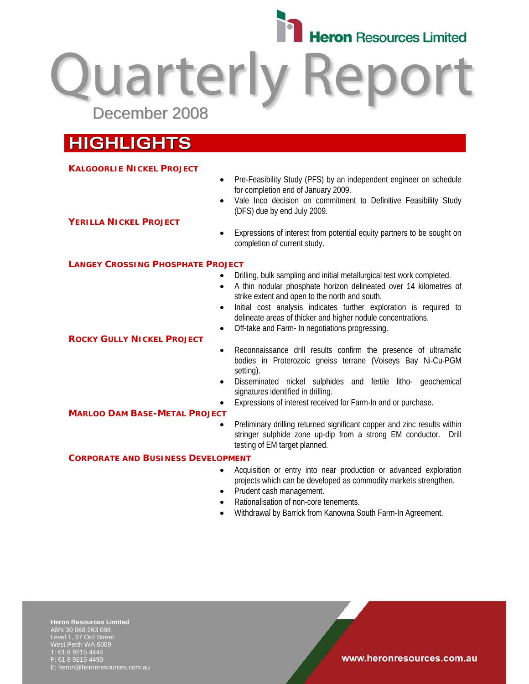

**Quarterly Report** December 2008

# **HIGHLIGHTS**

### **KALGOORLIE NICKEL PROJECT**

- Pre-Feasibility Study (PFS) by an independent engineer on schedule for completion end of January 2009.
- Vale Inco decision on commitment to Definitive Feasibility Study (DFS) due by end July 2009.

## **YERILLA NICKEL PROJECT**

• Expressions of interest from potential equity partners to be sought on completion of current study.

## **LANGEY CROSSING PHOSPHATE PROJECT**

- Drilling, bulk sampling and initial metallurgical test work completed.
- A thin nodular phosphate horizon delineated over 14 kilometres of strike extent and open to the north and south.
- Initial cost analysis indicates further exploration is required to delineate areas of thicker and higher nodule concentrations.
- Off-take and Farm- In negotiations progressing.
- Reconnaissance drill results confirm the presence of ultramafic bodies in Proterozoic gneiss terrane (Voiseys Bay Ni-Cu-PGM setting).
- Disseminated nickel sulphides and fertile litho- geochemical signatures identified in drilling.
- Expressions of interest received for Farm-In and or purchase.

### **MARLOO DAM BASE-METAL PROJECT**

**ROCKY GULLY NICKEL PROJECT**

• Preliminary drilling returned significant copper and zinc results within stringer sulphide zone up-dip from a strong EM conductor. Drill testing of EM target planned.

### **CORPORATE AND BUSINESS DEVELOPMENT**

- Acquisition or entry into near production or advanced exploration projects which can be developed as commodity markets strengthen.
- Prudent cash management.
- Rationalisation of non-core tenements.
- Withdrawal by Barrick from Kanowna South Farm-In Agreement.

**Heron Resources Limited**  ABN 30 068 263 098 Level 1, 37 Ord Street West Perth WA 6009 T: 61 8 9215 4444 F: 61 8 9215 4490 E: heron@heronresources.com.au

www.heronresources.com.au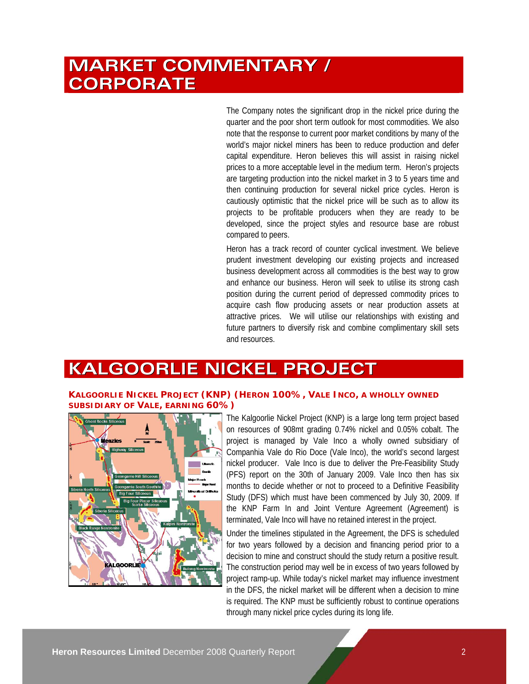# **MARKET COMMENTARY / CORPORATE**

The Company notes the significant drop in the nickel price during the quarter and the poor short term outlook for most commodities. We also note that the response to current poor market conditions by many of the world's major nickel miners has been to reduce production and defer capital expenditure. Heron believes this will assist in raising nickel prices to a more acceptable level in the medium term. Heron's projects are targeting production into the nickel market in 3 to 5 years time and then continuing production for several nickel price cycles. Heron is cautiously optimistic that the nickel price will be such as to allow its projects to be profitable producers when they are ready to be developed, since the project styles and resource base are robust compared to peers.

Heron has a track record of counter cyclical investment. We believe prudent investment developing our existing projects and increased business development across all commodities is the best way to grow and enhance our business. Heron will seek to utilise its strong cash position during the current period of depressed commodity prices to acquire cash flow producing assets or near production assets at attractive prices. We will utilise our relationships with existing and future partners to diversify risk and combine complimentary skill sets and resources.

# **KALGOORLIE NICKEL PROJECT**

## **KALGOORLIE NICKEL PROJECT (KNP) (HERON 100%, VALE INCO, A WHOLLY OWNED SUBSIDIARY OF VALE, EARNING 60%)**



The Kalgoorlie Nickel Project (KNP) is a large long term project based on resources of 908mt grading 0.74% nickel and 0.05% cobalt. The project is managed by Vale Inco a wholly owned subsidiary of Companhia Vale do Rio Doce (Vale Inco), the world's second largest nickel producer. Vale Inco is due to deliver the Pre-Feasibility Study (PFS) report on the 30th of January 2009. Vale Inco then has six months to decide whether or not to proceed to a Definitive Feasibility Study (DFS) which must have been commenced by July 30, 2009. If the KNP Farm In and Joint Venture Agreement (Agreement) is terminated, Vale Inco will have no retained interest in the project.

Under the timelines stipulated in the Agreement, the DFS is scheduled for two years followed by a decision and financing period prior to a decision to mine and construct should the study return a positive result. The construction period may well be in excess of two years followed by project ramp-up. While today's nickel market may influence investment in the DFS, the nickel market will be different when a decision to mine is required. The KNP must be sufficiently robust to continue operations through many nickel price cycles during its long life.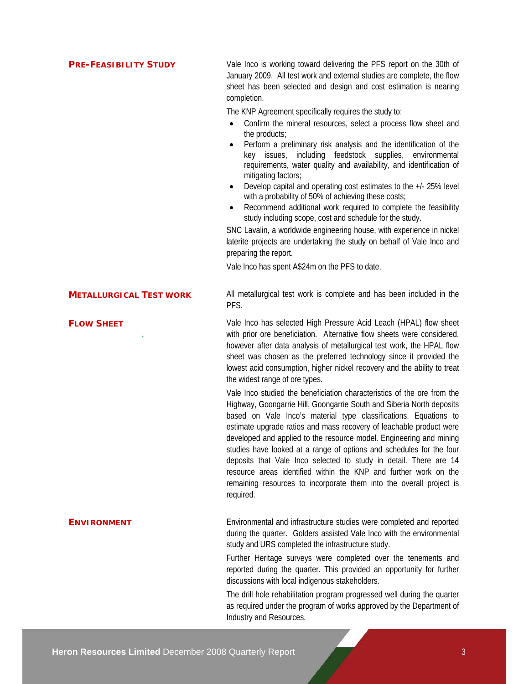**PRE-FEASIBILITY STUDY** Vale Inco is working toward delivering the PFS report on the 30th of January 2009. All test work and external studies are complete, the flow sheet has been selected and design and cost estimation is nearing completion.

The KNP Agreement specifically requires the study to:

- Confirm the mineral resources, select a process flow sheet and the products;
- Perform a preliminary risk analysis and the identification of the key issues, including feedstock supplies, environmental requirements, water quality and availability, and identification of mitigating factors;
- Develop capital and operating cost estimates to the +/- 25% level with a probability of 50% of achieving these costs;
- Recommend additional work required to complete the feasibility study including scope, cost and schedule for the study.

SNC Lavalin, a worldwide engineering house, with experience in nickel laterite projects are undertaking the study on behalf of Vale Inco and preparing the report.

Vale Inco has spent A\$24m on the PFS to date.

**METALLURGICAL TEST WORK** All metallurgical test work is complete and has been included in the PFS.

> Vale Inco has selected High Pressure Acid Leach (HPAL) flow sheet with prior ore beneficiation. Alternative flow sheets were considered, however after data analysis of metallurgical test work, the HPAL flow sheet was chosen as the preferred technology since it provided the lowest acid consumption, higher nickel recovery and the ability to treat the widest range of ore types.

> Vale Inco studied the beneficiation characteristics of the ore from the Highway, Goongarrie Hill, Goongarrie South and Siberia North deposits based on Vale Inco's material type classifications. Equations to estimate upgrade ratios and mass recovery of leachable product were developed and applied to the resource model. Engineering and mining studies have looked at a range of options and schedules for the four deposits that Vale Inco selected to study in detail. There are 14 resource areas identified within the KNP and further work on the remaining resources to incorporate them into the overall project is required.

**ENVIRONMENT** Environmental and infrastructure studies were completed and reported during the quarter. Golders assisted Vale Inco with the environmental study and URS completed the infrastructure study.

> Further Heritage surveys were completed over the tenements and reported during the quarter. This provided an opportunity for further discussions with local indigenous stakeholders.

> The drill hole rehabilitation program progressed well during the quarter as required under the program of works approved by the Department of Industry and Resources.

*.* 

#### **FLOW SHEET**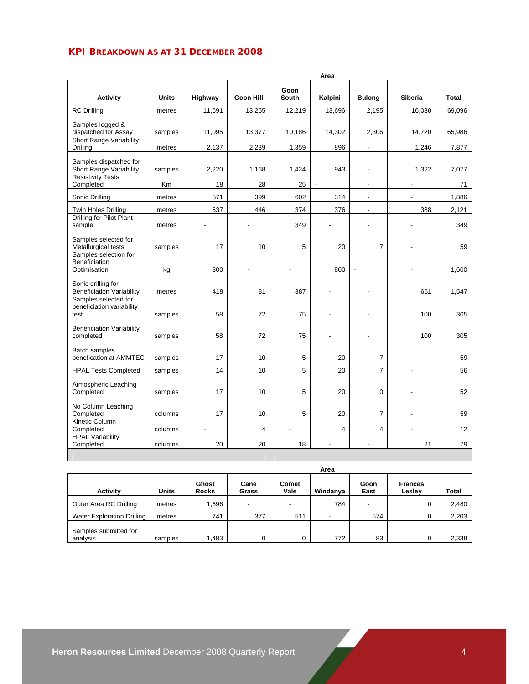# **KPI BREAKDOWN AS AT 31 DECEMBER 2008**

|                                                                     |              | Area           |                  |                |                          |                |                |                 |
|---------------------------------------------------------------------|--------------|----------------|------------------|----------------|--------------------------|----------------|----------------|-----------------|
| <b>Activity</b>                                                     | <b>Units</b> | Highway        | <b>Goon Hill</b> | Goon<br>South  | Kalpini                  | <b>Bulong</b>  | Siberia        | <b>Total</b>    |
| <b>RC</b> Drilling                                                  | metres       | 11,691         | 13,265           | 12,219         | 13,696                   | 2,195          | 16,030         | 69,096          |
| Samples logged &<br>dispatched for Assay<br>Short Range Variability | samples      | 11,095         | 13,377           | 10,186         | 14,302                   | 2,306          | 14,720         | 65,986          |
| Drilling                                                            | metres       | 2,137          | 2,239            | 1,359          | 896                      | $\overline{a}$ | 1,246          | 7,877           |
| Samples dispatched for<br>Short Range Variability                   | samples      | 2,220          | 1,168            | 1,424          | 943                      | ä,             | 1,322          | 7,077           |
| <b>Resistivity Tests</b><br>Completed                               | Km           | 18             | 28               | 25             |                          |                |                | 71              |
| Sonic Drilling                                                      | metres       | 571            | 399              | 602            | 314                      | ٠              |                | 1,886           |
| Twin Holes Drilling                                                 | metres       | 537            | 446              | 374            | 376                      | $\overline{a}$ | 388            | 2,121           |
| Drilling for Pilot Plant<br>sample                                  | metres       | $\overline{a}$ | $\blacksquare$   | 349            | $\overline{\phantom{a}}$ | ٠              |                | 349             |
| Samples selected for<br>Metallurgical tests                         | samples      | 17             | 10               | 5              | 20                       | $\overline{7}$ |                | 59              |
| Samples selection for<br>Beneficiation<br>Optimisation              | kg           | 800            | $\blacksquare$   | $\overline{a}$ | 800                      | $\overline{a}$ | $\overline{a}$ | 1.600           |
| Sonic drilling for<br><b>Beneficiation Variability</b>              | metres       | 418            | 81               | 387            | L.                       |                | 661            | 1,547           |
| Samples selected for<br>beneficiation variability<br>test           | samples      | 58             | 72               | 75             |                          |                | 100            | 305             |
| <b>Beneficiation Variability</b><br>completed                       | samples      | 58             | 72               | 75             |                          |                | 100            | 305             |
| <b>Batch samples</b><br>benefication at AMMTEC                      | samples      | 17             | 10               | 5              | 20                       | $\overline{7}$ |                | 59              |
| <b>HPAL Tests Completed</b>                                         | samples      | 14             | 10               | 5              | 20                       | $\overline{7}$ | $\blacksquare$ | 56              |
| Atmospheric Leaching<br>Completed                                   | samples      | 17             | 10               | 5              | 20                       | 0              |                | 52              |
| No Column Leaching<br>Completed                                     | columns      | 17             | 10               | 5              | 20                       | $\overline{7}$ |                | 59              |
| Kinetic Column<br>Completed                                         | columns      |                | $\overline{4}$   | $\overline{a}$ | 4                        | 4              |                | 12 <sup>°</sup> |
| <b>HPAL Variability</b><br>Completed                                | columns      | 20             | 20               | 18             |                          |                | 21             | 79              |
|                                                                     |              |                |                  |                |                          |                |                |                 |

|                                   |              | Area                  |                          |               |                          |                          |                          |       |
|-----------------------------------|--------------|-----------------------|--------------------------|---------------|--------------------------|--------------------------|--------------------------|-------|
| <b>Activity</b>                   | <b>Units</b> | Ghost<br><b>Rocks</b> | Cane<br>Grass            | Comet<br>Vale | Windanya                 | Goon<br>East             | <b>Frances</b><br>Lesley | Total |
| Outer Area RC Drilling            | metres       | .696                  | $\overline{\phantom{a}}$ |               | 784                      | $\overline{\phantom{a}}$ |                          | 2,480 |
| <b>Water Exploration Drilling</b> | metres       | 741                   | 377                      | 511           | $\overline{\phantom{0}}$ | 574                      |                          | 2,203 |
| Samples submitted for<br>analysis | samples      | 1,483                 | 0                        |               | 772                      | 83                       |                          | 2,338 |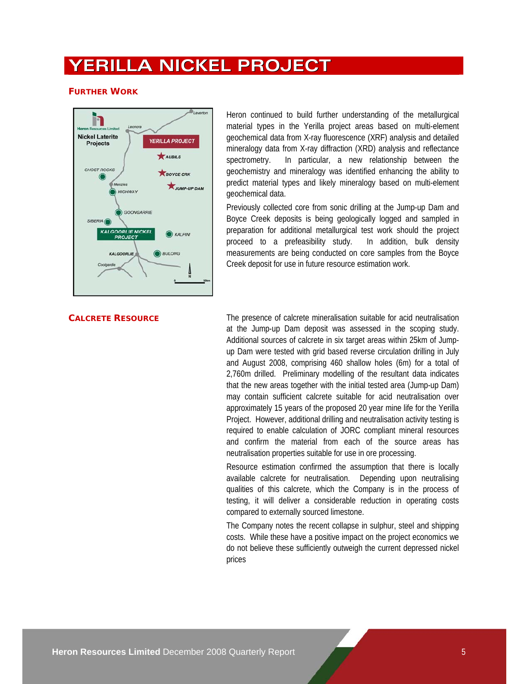# **YERILLA NICKEL PROJECT**

### **FURTHER WORK**



Heron continued to build further understanding of the metallurgical material types in the Yerilla project areas based on multi-element geochemical data from X-ray fluorescence (XRF) analysis and detailed mineralogy data from X-ray diffraction (XRD) analysis and reflectance spectrometry. In particular, a new relationship between the geochemistry and mineralogy was identified enhancing the ability to predict material types and likely mineralogy based on multi-element geochemical data.

Previously collected core from sonic drilling at the Jump-up Dam and Boyce Creek deposits is being geologically logged and sampled in preparation for additional metallurgical test work should the project proceed to a prefeasibility study. In addition, bulk density measurements are being conducted on core samples from the Boyce Creek deposit for use in future resource estimation work.

**CALCRETE RESOURCE** The presence of calcrete mineralisation suitable for acid neutralisation at the Jump-up Dam deposit was assessed in the scoping study. Additional sources of calcrete in six target areas within 25km of Jumpup Dam were tested with grid based reverse circulation drilling in July and August 2008, comprising 460 shallow holes (6m) for a total of 2,760m drilled. Preliminary modelling of the resultant data indicates that the new areas together with the initial tested area (Jump-up Dam) may contain sufficient calcrete suitable for acid neutralisation over approximately 15 years of the proposed 20 year mine life for the Yerilla Project. However, additional drilling and neutralisation activity testing is required to enable calculation of JORC compliant mineral resources and confirm the material from each of the source areas has neutralisation properties suitable for use in ore processing.

> Resource estimation confirmed the assumption that there is locally available calcrete for neutralisation. Depending upon neutralising qualities of this calcrete, which the Company is in the process of testing, it will deliver a considerable reduction in operating costs compared to externally sourced limestone.

> The Company notes the recent collapse in sulphur, steel and shipping costs. While these have a positive impact on the project economics we do not believe these sufficiently outweigh the current depressed nickel prices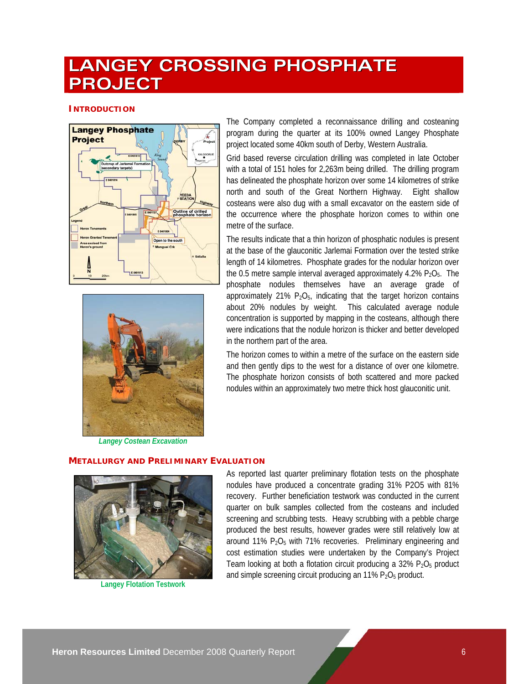# **LANGEY CROSSING PHOSPHATE PROJECT**

### **INTRODUCTION**





*Langey Costean Excavation* 

The Company completed a reconnaissance drilling and costeaning program during the quarter at its 100% owned Langey Phosphate project located some 40km south of Derby, Western Australia.

Grid based reverse circulation drilling was completed in late October with a total of 151 holes for 2,263m being drilled. The drilling program has delineated the phosphate horizon over some 14 kilometres of strike north and south of the Great Northern Highway. Eight shallow costeans were also dug with a small excavator on the eastern side of the occurrence where the phosphate horizon comes to within one metre of the surface.

The results indicate that a thin horizon of phosphatic nodules is present at the base of the glauconitic Jarlemai Formation over the tested strike length of 14 kilometres. Phosphate grades for the nodular horizon over the 0.5 metre sample interval averaged approximately 4.2%  $P_2O_5$ . The phosphate nodules themselves have an average grade of approximately 21%  $P_2O_5$ , indicating that the target horizon contains about 20% nodules by weight. This calculated average nodule concentration is supported by mapping in the costeans, although there were indications that the nodule horizon is thicker and better developed in the northern part of the area.

The horizon comes to within a metre of the surface on the eastern side and then gently dips to the west for a distance of over one kilometre. The phosphate horizon consists of both scattered and more packed nodules within an approximately two metre thick host glauconitic unit.

### **METALLURGY AND PRELIMINARY EVALUATION**



**Langey Flotation Testwork** 

As reported last quarter preliminary flotation tests on the phosphate nodules have produced a concentrate grading 31% P2O5 with 81% recovery. Further beneficiation testwork was conducted in the current quarter on bulk samples collected from the costeans and included screening and scrubbing tests. Heavy scrubbing with a pebble charge produced the best results, however grades were still relatively low at around 11% P2O5 with 71% recoveries. Preliminary engineering and cost estimation studies were undertaken by the Company's Project Team looking at both a flotation circuit producing a  $32\%$  P<sub>2</sub>O<sub>5</sub> product and simple screening circuit producing an  $11\%$   $P_2O_5$  product.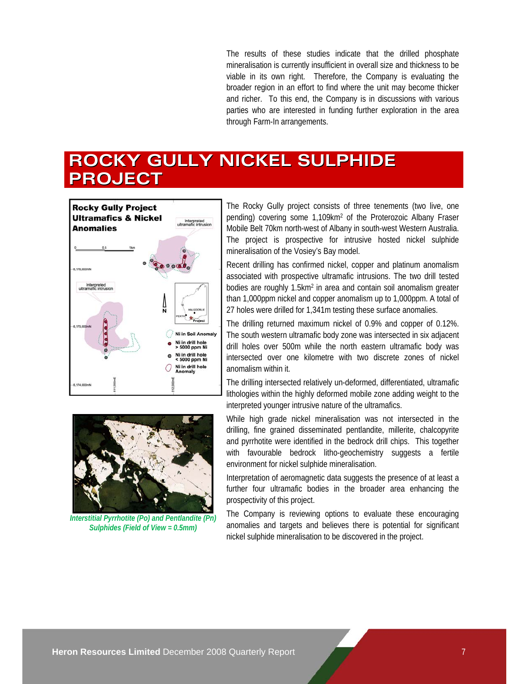The results of these studies indicate that the drilled phosphate mineralisation is currently insufficient in overall size and thickness to be viable in its own right. Therefore, the Company is evaluating the broader region in an effort to find where the unit may become thicker and richer. To this end, the Company is in discussions with various parties who are interested in funding further exploration in the area through Farm-In arrangements.

# **ROCKY GULLY NICKEL SULPHIDE PROJECT**



pending) covering some 1,109km2 of the Proterozoic Albany Fraser Mobile Belt 70km north-west of Albany in south-west Western Australia. The project is prospective for intrusive hosted nickel sulphide mineralisation of the Vosiey's Bay model.

Recent drilling has confirmed nickel, copper and platinum anomalism associated with prospective ultramafic intrusions. The two drill tested bodies are roughly 1.5km<sup>2</sup> in area and contain soil anomalism greater than 1,000ppm nickel and copper anomalism up to 1,000ppm. A total of 27 holes were drilled for 1,341m testing these surface anomalies.

The drilling returned maximum nickel of 0.9% and copper of 0.12%. The south western ultramafic body zone was intersected in six adjacent drill holes over 500m while the north eastern ultramafic body was intersected over one kilometre with two discrete zones of nickel anomalism within it.

The drilling intersected relatively un-deformed, differentiated, ultramafic lithologies within the highly deformed mobile zone adding weight to the interpreted younger intrusive nature of the ultramafics.

While high grade nickel mineralisation was not intersected in the drilling, fine grained disseminated pentlandite, millerite, chalcopyrite and pyrrhotite were identified in the bedrock drill chips. This together with favourable bedrock litho-geochemistry suggests a fertile environment for nickel sulphide mineralisation.

Interpretation of aeromagnetic data suggests the presence of at least a further four ultramafic bodies in the broader area enhancing the prospectivity of this project.

The Company is reviewing options to evaluate these encouraging anomalies and targets and believes there is potential for significant nickel sulphide mineralisation to be discovered in the project.



*Interstitial Pyrrhotite (Po) and Pentlandite (Pn) Sulphides (Field of View = 0.5mm)*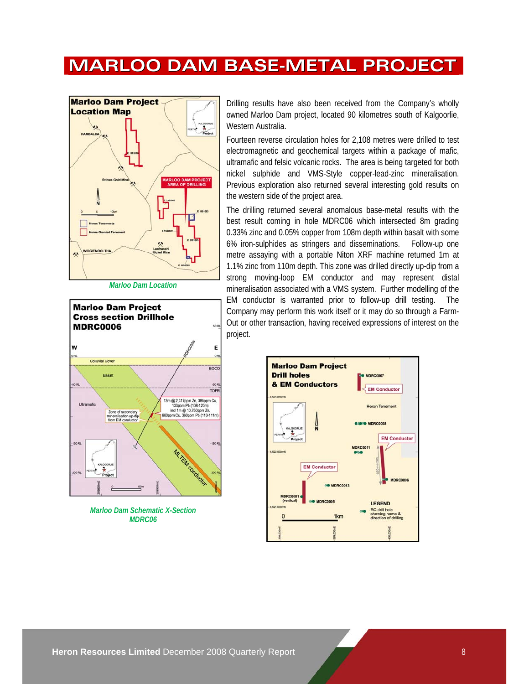# **MARLOO DAM BASE-METAL PROJECT**



*Marloo Dam Location* 



*Marloo Dam Schematic X-Section MDRC06* 

Drilling results have also been received from the Company's wholly owned Marloo Dam project, located 90 kilometres south of Kalgoorlie, Western Australia.

Fourteen reverse circulation holes for 2,108 metres were drilled to test electromagnetic and geochemical targets within a package of mafic, ultramafic and felsic volcanic rocks. The area is being targeted for both nickel sulphide and VMS-Style copper-lead-zinc mineralisation. Previous exploration also returned several interesting gold results on the western side of the project area.

The drilling returned several anomalous base-metal results with the best result coming in hole MDRC06 which intersected 8m grading 0.33% zinc and 0.05% copper from 108m depth within basalt with some 6% iron-sulphides as stringers and disseminations. Follow-up one metre assaying with a portable Niton XRF machine returned 1m at 1.1% zinc from 110m depth. This zone was drilled directly up-dip from a strong moving-loop EM conductor and may represent distal mineralisation associated with a VMS system. Further modelling of the EM conductor is warranted prior to follow-up drill testing. The Company may perform this work itself or it may do so through a Farm-Out or other transaction, having received expressions of interest on the project.

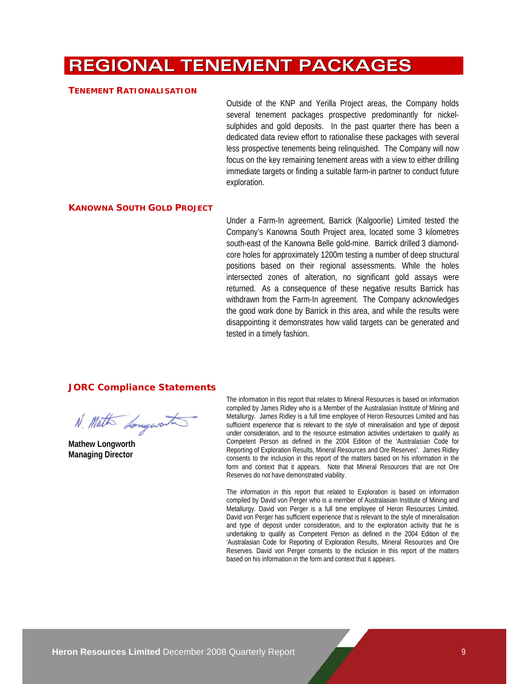# **REGIONAL TENEMENT PACKAGES**

#### **TENEMENT RATIONALISATION**

Outside of the KNP and Yerilla Project areas, the Company holds several tenement packages prospective predominantly for nickelsulphides and gold deposits. In the past quarter there has been a dedicated data review effort to rationalise these packages with several less prospective tenements being relinquished. The Company will now focus on the key remaining tenement areas with a view to either drilling immediate targets or finding a suitable farm-in partner to conduct future exploration.

#### **KANOWNA SOUTH GOLD PROJECT**

Under a Farm-In agreement, Barrick (Kalgoorlie) Limited tested the Company's Kanowna South Project area, located some 3 kilometres south-east of the Kanowna Belle gold-mine. Barrick drilled 3 diamondcore holes for approximately 1200m testing a number of deep structural positions based on their regional assessments. While the holes intersected zones of alteration, no significant gold assays were returned. As a consequence of these negative results Barrick has withdrawn from the Farm-In agreement. The Company acknowledges the good work done by Barrick in this area, and while the results were disappointing it demonstrates how valid targets can be generated and tested in a timely fashion.

#### **JORC Compliance Statements**

N. Math Longworth

**Mathew Longworth Managing Director** 

The information in this report that relates to Mineral Resources is based on information compiled by James Ridley who is a Member of the Australasian Institute of Mining and Metallurgy. James Ridley is a full time employee of Heron Resources Limited and has sufficient experience that is relevant to the style of mineralisation and type of deposit under consideration, and to the resource estimation activities undertaken to qualify as Competent Person as defined in the 2004 Edition of the 'Australasian Code for Reporting of Exploration Results, Mineral Resources and Ore Reserves'. James Ridley consents to the inclusion in this report of the matters based on his information in the form and context that it appears. Note that Mineral Resources that are not Ore Reserves do not have demonstrated viability.

The information in this report that related to Exploration is based on information compiled by David von Perger who is a member of Australasian Institute of Mining and Metallurgy. David von Perger is a full time employee of Heron Resources Limited. David von Perger has sufficient experience that is relevant to the style of mineralisation and type of deposit under consideration, and to the exploration activity that he is undertaking to qualify as Competent Person as defined in the 2004 Edition of the 'Australasian Code for Reporting of Exploration Results, Mineral Resources and Ore Reserves. David von Perger consents to the inclusion in this report of the matters based on his information in the form and context that it appears.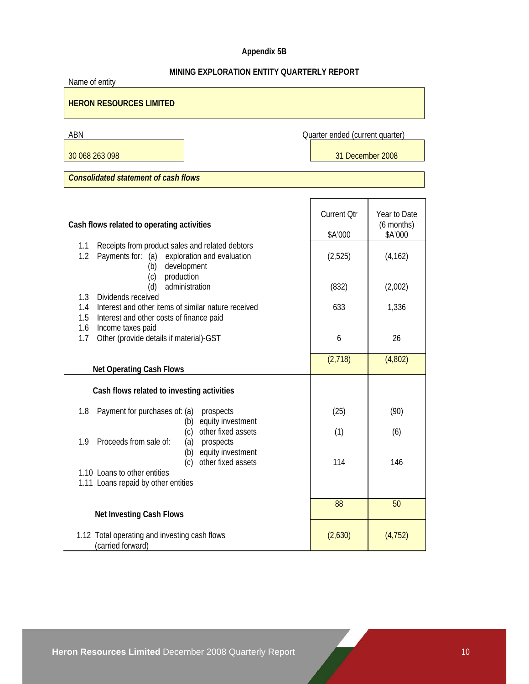# **Appendix 5B**

# **MINING EXPLORATION ENTITY QUARTERLY REPORT**

| Name of entity                                                                                                                      |                                 |                            |  |  |  |  |  |
|-------------------------------------------------------------------------------------------------------------------------------------|---------------------------------|----------------------------|--|--|--|--|--|
| <b>HERON RESOURCES LIMITED</b>                                                                                                      |                                 |                            |  |  |  |  |  |
| ABN                                                                                                                                 | Quarter ended (current quarter) |                            |  |  |  |  |  |
| 30 068 263 098                                                                                                                      | 31 December 2008                |                            |  |  |  |  |  |
| <b>Consolidated statement of cash flows</b>                                                                                         |                                 |                            |  |  |  |  |  |
|                                                                                                                                     |                                 |                            |  |  |  |  |  |
| Cash flows related to operating activities                                                                                          | <b>Current Qtr</b>              | Year to Date<br>(6 months) |  |  |  |  |  |
|                                                                                                                                     | \$A'000                         | \$A'000                    |  |  |  |  |  |
| Receipts from product sales and related debtors<br>1.1<br>1.2<br>Payments for: (a) exploration and evaluation<br>development<br>(b) | (2,525)                         | (4, 162)                   |  |  |  |  |  |
| production<br>(c)<br>administration<br>(d)<br>1.3<br>Dividends received                                                             | (832)                           | (2,002)                    |  |  |  |  |  |
| Interest and other items of similar nature received<br>1.4<br>1.5<br>Interest and other costs of finance paid                       | 633                             | 1,336                      |  |  |  |  |  |
| Income taxes paid<br>1.6<br>Other (provide details if material)-GST<br>1.7                                                          | 6                               | 26                         |  |  |  |  |  |
| <b>Net Operating Cash Flows</b>                                                                                                     | (2,718)                         | (4,802)                    |  |  |  |  |  |
| Cash flows related to investing activities                                                                                          |                                 |                            |  |  |  |  |  |
| Payment for purchases of: (a)<br>1.8<br>prospects<br>equity investment<br>(b)                                                       | (25)                            | (90)                       |  |  |  |  |  |
| other fixed assets<br>(c)<br>Proceeds from sale of:<br>1.9<br>prospects<br>(a)                                                      | (1)                             | (6)                        |  |  |  |  |  |
| equity investment<br>(b)<br>(c)<br>other fixed assets<br>1.10 Loans to other entities                                               | 114                             | 146                        |  |  |  |  |  |
| 1.11 Loans repaid by other entities                                                                                                 |                                 |                            |  |  |  |  |  |
| <b>Net Investing Cash Flows</b>                                                                                                     | 88                              | 50                         |  |  |  |  |  |
| 1.12 Total operating and investing cash flows<br>(carried forward)                                                                  | (2,630)                         | (4, 752)                   |  |  |  |  |  |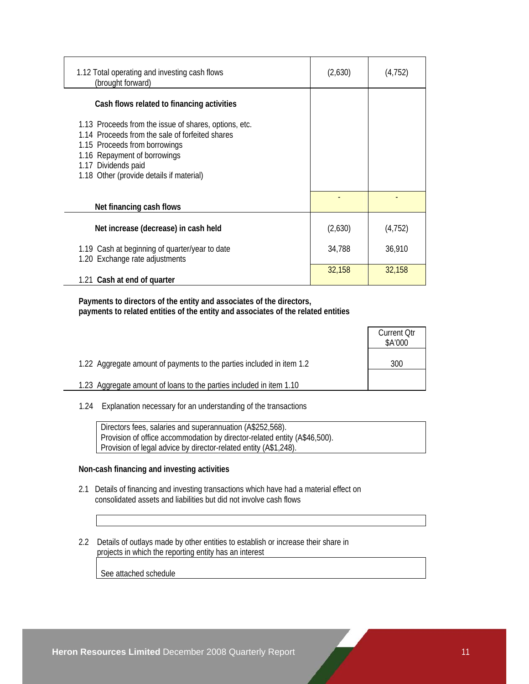| 1.12 Total operating and investing cash flows<br>(brought forward)                                                                                                                                                                           | (2,630) | (4, 752) |
|----------------------------------------------------------------------------------------------------------------------------------------------------------------------------------------------------------------------------------------------|---------|----------|
| Cash flows related to financing activities                                                                                                                                                                                                   |         |          |
| 1.13 Proceeds from the issue of shares, options, etc.<br>1.14 Proceeds from the sale of forfeited shares<br>1.15 Proceeds from borrowings<br>1.16 Repayment of borrowings<br>1.17 Dividends paid<br>1.18 Other (provide details if material) |         |          |
| Net financing cash flows                                                                                                                                                                                                                     |         |          |
| Net increase (decrease) in cash held                                                                                                                                                                                                         | (2,630) | (4, 752) |
| 1.19 Cash at beginning of quarter/year to date<br>1.20 Exchange rate adjustments                                                                                                                                                             | 34,788  | 36,910   |
| 1.21 Cash at end of quarter                                                                                                                                                                                                                  | 32,158  | 32,158   |

 **Payments to directors of the entity and associates of the directors, payments to related entities of the entity and associates of the related entities** 

|                                                                       | <b>Current Qtr</b><br>\$A'000 |
|-----------------------------------------------------------------------|-------------------------------|
| 1.22 Aggregate amount of payments to the parties included in item 1.2 | 300                           |
| 1.23 Aggregate amount of loans to the parties included in item 1.10   |                               |

1.24 Explanation necessary for an understanding of the transactions

 Directors fees, salaries and superannuation (A\$252,568). Provision of office accommodation by director-related entity (A\$46,500). Provision of legal advice by director-related entity (A\$1,248).

#### **Non-cash financing and investing activities**

- 2.1 Details of financing and investing transactions which have had a material effect on consolidated assets and liabilities but did not involve cash flows
- 2.2 Details of outlays made by other entities to establish or increase their share in projects in which the reporting entity has an interest

See attached schedule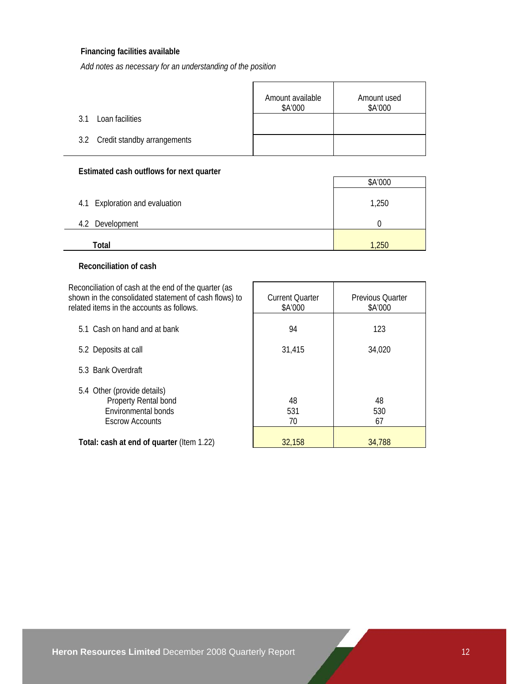### **Financing facilities available**

*Add notes as necessary for an understanding of the position*

|                                 | Amount available<br>\$A'000 | Amount used<br>\$A'000 |
|---------------------------------|-----------------------------|------------------------|
| Loan facilities<br>3.1          |                             |                        |
| 3.2 Credit standby arrangements |                             |                        |

### **Estimated cash outflows for next quarter**

|                                | \$A'000 |
|--------------------------------|---------|
| 4.1 Exploration and evaluation | 1,250   |
| 4.2 Development                |         |
| Total                          | ,250    |

### **Reconciliation of cash**

Reconciliation of cash at the end of the quarter (as shown in the consolidated statement of cash flows) to related items in the accounts as follows.

| related items in the accounts as follows.                                                            | \$A'000         | \$A'000         |
|------------------------------------------------------------------------------------------------------|-----------------|-----------------|
| 5.1 Cash on hand and at bank                                                                         | 94              | 123             |
| 5.2 Deposits at call                                                                                 | 31,415          | 34,020          |
| 5.3 Bank Overdraft                                                                                   |                 |                 |
| 5.4 Other (provide details)<br>Property Rental bond<br>Environmental bonds<br><b>Escrow Accounts</b> | 48<br>531<br>70 | 48<br>530<br>67 |
| Total: cash at end of quarter (Item 1.22)                                                            | 32,158          | 34.788          |

Current Quarter

Previous Quarter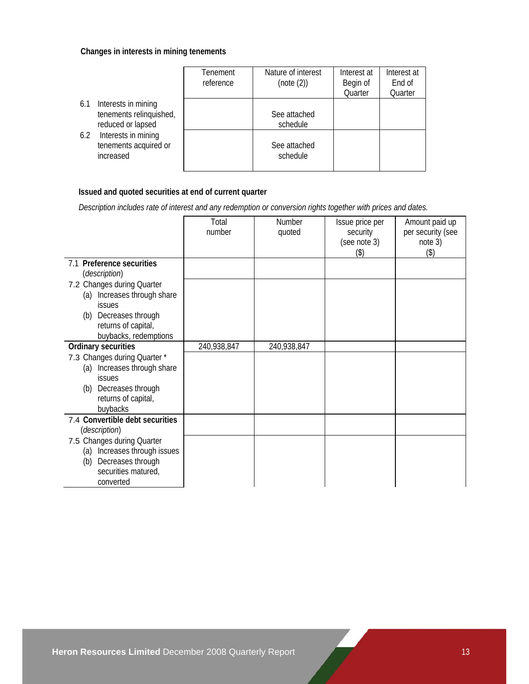### **Changes in interests in mining tenements**

|                                                                            | Tenement<br>reference | Nature of interest<br>(note (2)) | Interest at<br>Begin of<br>Quarter | Interest at<br>End of<br>Quarter |
|----------------------------------------------------------------------------|-----------------------|----------------------------------|------------------------------------|----------------------------------|
| Interests in mining<br>6.1<br>tenements relinquished,<br>reduced or lapsed |                       | See attached<br>schedule         |                                    |                                  |
| Interests in mining<br>6.2<br>tenements acquired or<br>increased           |                       | See attached<br>schedule         |                                    |                                  |

# **Issued and quoted securities at end of current quarter**

 *Description includes rate of interest and any redemption or conversion rights together with prices and dates.* 

|                                                                        | Total<br>number | Number<br>quoted | Issue price per<br>security<br>(see note 3) | Amount paid up<br>per security (see<br>note 3) |
|------------------------------------------------------------------------|-----------------|------------------|---------------------------------------------|------------------------------------------------|
|                                                                        |                 |                  | (3)                                         | (3)                                            |
| 7.1 Preference securities<br>(description)                             |                 |                  |                                             |                                                |
| 7.2 Changes during Quarter<br>Increases through share<br>(a)<br>issues |                 |                  |                                             |                                                |
| Decreases through<br>(b)<br>returns of capital,                        |                 |                  |                                             |                                                |
| buybacks, redemptions                                                  |                 |                  |                                             |                                                |
| Ordinary securities                                                    | 240,938,847     | 240,938,847      |                                             |                                                |
| 7.3 Changes during Quarter *                                           |                 |                  |                                             |                                                |
| (a) Increases through share                                            |                 |                  |                                             |                                                |
| <b>issues</b>                                                          |                 |                  |                                             |                                                |
| Decreases through<br>(b)                                               |                 |                  |                                             |                                                |
| returns of capital,<br>buybacks                                        |                 |                  |                                             |                                                |
| 7.4 Convertible debt securities                                        |                 |                  |                                             |                                                |
| (description)                                                          |                 |                  |                                             |                                                |
| 7.5 Changes during Quarter                                             |                 |                  |                                             |                                                |
| Increases through issues<br>(a)                                        |                 |                  |                                             |                                                |
| Decreases through<br>(b)                                               |                 |                  |                                             |                                                |
| securities matured,                                                    |                 |                  |                                             |                                                |
| converted                                                              |                 |                  |                                             |                                                |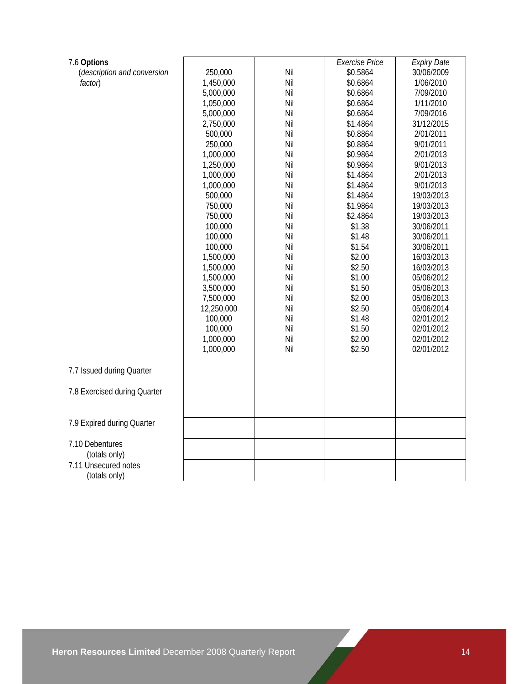| 7.6 Options                      | 250,000    | Nil | <b>Exercise Price</b><br>\$0.5864 | <b>Expiry Date</b><br>30/06/2009 |
|----------------------------------|------------|-----|-----------------------------------|----------------------------------|
| (description and conversion      |            | Nil |                                   | 1/06/2010                        |
| factor)                          | 1,450,000  | Nil | \$0.6864                          |                                  |
|                                  | 5,000,000  | Nil | \$0.6864                          | 7/09/2010<br>1/11/2010           |
|                                  | 1,050,000  |     | \$0.6864                          |                                  |
|                                  | 5,000,000  | Nil | \$0.6864                          | 7/09/2016                        |
|                                  | 2,750,000  | Nil | \$1.4864                          | 31/12/2015                       |
|                                  | 500,000    | Nil | \$0.8864                          | 2/01/2011                        |
|                                  | 250,000    | Nil | \$0.8864                          | 9/01/2011                        |
|                                  | 1,000,000  | Nil | \$0.9864                          | 2/01/2013                        |
|                                  | 1,250,000  | Nil | \$0.9864                          | 9/01/2013                        |
|                                  | 1,000,000  | Nil | \$1.4864                          | 2/01/2013                        |
|                                  | 1,000,000  | Nil | \$1.4864                          | 9/01/2013                        |
|                                  | 500,000    | Nil | \$1.4864                          | 19/03/2013                       |
|                                  | 750,000    | Nil | \$1.9864                          | 19/03/2013                       |
|                                  | 750,000    | Nil | \$2.4864                          | 19/03/2013                       |
|                                  | 100,000    | Nil | \$1.38                            | 30/06/2011                       |
|                                  | 100,000    | Nil | \$1.48                            | 30/06/2011                       |
|                                  | 100,000    | Nil | \$1.54                            | 30/06/2011                       |
|                                  | 1,500,000  | Nil | \$2.00                            | 16/03/2013                       |
|                                  | 1,500,000  | Nil | \$2.50                            | 16/03/2013                       |
|                                  | 1,500,000  | Nil | \$1.00                            | 05/06/2012                       |
|                                  | 3,500,000  | Nil | \$1.50                            | 05/06/2013                       |
|                                  | 7,500,000  | Nil | \$2.00                            | 05/06/2013                       |
|                                  | 12,250,000 | Nil | \$2.50                            | 05/06/2014                       |
|                                  | 100,000    | Nil | \$1.48                            | 02/01/2012                       |
|                                  | 100,000    | Nil | \$1.50                            | 02/01/2012                       |
|                                  | 1,000,000  | Nil | \$2.00                            | 02/01/2012                       |
|                                  | 1,000,000  | Nil | \$2.50                            | 02/01/2012                       |
| 7.7 Issued during Quarter        |            |     |                                   |                                  |
|                                  |            |     |                                   |                                  |
| 7.8 Exercised during Quarter     |            |     |                                   |                                  |
|                                  |            |     |                                   |                                  |
| 7.9 Expired during Quarter       |            |     |                                   |                                  |
|                                  |            |     |                                   |                                  |
| 7.10 Debentures<br>(totals only) |            |     |                                   |                                  |
| 7.11 Unsecured notes             |            |     |                                   |                                  |
| (totals only)                    |            |     |                                   |                                  |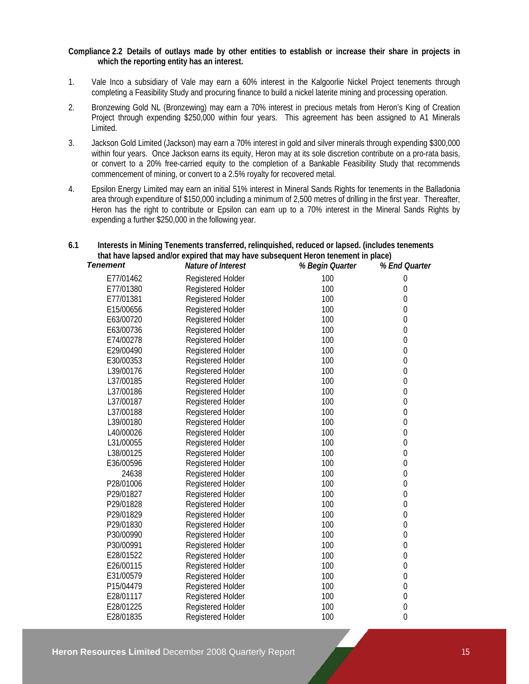#### **Compliance 2.2 Details of outlays made by other entities to establish or increase their share in projects in which the reporting entity has an interest.**

- 1. Vale Inco a subsidiary of Vale may earn a 60% interest in the Kalgoorlie Nickel Project tenements through completing a Feasibility Study and procuring finance to build a nickel laterite mining and processing operation.
- 2. Bronzewing Gold NL (Bronzewing) may earn a 70% interest in precious metals from Heron's King of Creation Project through expending \$250,000 within four years. This agreement has been assigned to A1 Minerals Limited.
- 3. Jackson Gold Limited (Jackson) may earn a 70% interest in gold and silver minerals through expending \$300,000 within four years. Once Jackson earns its equity, Heron may at its sole discretion contribute on a pro-rata basis, or convert to a 20% free-carried equity to the completion of a Bankable Feasibility Study that recommends commencement of mining, or convert to a 2.5% royalty for recovered metal.
- 4. Epsilon Energy Limited may earn an initial 51% interest in Mineral Sands Rights for tenements in the Balladonia area through expenditure of \$150,000 including a minimum of 2,500 metres of drilling in the first year. Thereafter, Heron has the right to contribute or Epsilon can earn up to a 70% interest in the Mineral Sands Rights by expending a further \$250,000 in the following year.

### **6.1 Interests in Mining Tenements transferred, relinquished, reduced or lapsed. (includes tenements that have lapsed and/or expired that may have subsequent Heron tenement in place)**

| <b>Tenement</b> | Nature of Interest       | % Begin Quarter | % End Quarter    |
|-----------------|--------------------------|-----------------|------------------|
| E77/01462       | Registered Holder        | 100             | $\mathbf 0$      |
| E77/01380       | Registered Holder        | 100             | $\boldsymbol{0}$ |
| E77/01381       | Registered Holder        | 100             | 0                |
| E15/00656       | Registered Holder        | 100             | 0                |
| E63/00720       | Registered Holder        | 100             | $\boldsymbol{0}$ |
| E63/00736       | Registered Holder        | 100             | $\theta$         |
| E74/00278       | Registered Holder        | 100             | $\boldsymbol{0}$ |
| E29/00490       | Registered Holder        | 100             | $\mathbf 0$      |
| E30/00353       | Registered Holder        | 100             | $\mathbf 0$      |
| L39/00176       | Registered Holder        | 100             | $\boldsymbol{0}$ |
| L37/00185       | <b>Registered Holder</b> | 100             | $\boldsymbol{0}$ |
| L37/00186       | Registered Holder        | 100             | 0                |
| L37/00187       | <b>Registered Holder</b> | 100             | $\boldsymbol{0}$ |
| L37/00188       | Registered Holder        | 100             | $\theta$         |
| L39/00180       | Registered Holder        | 100             | $\boldsymbol{0}$ |
| L40/00026       | Registered Holder        | 100             | $\boldsymbol{0}$ |
| L31/00055       | Registered Holder        | 100             | $\mathbf 0$      |
| L38/00125       | <b>Registered Holder</b> | 100             | $\mathbf 0$      |
| E36/00596       | Registered Holder        | 100             | $\boldsymbol{0}$ |
| 24638           | Registered Holder        | 100             | $\boldsymbol{0}$ |
| P28/01006       | Registered Holder        | 100             | 0                |
| P29/01827       | Registered Holder        | 100             | 0                |
| P29/01828       | Registered Holder        | 100             | $\mathbf{0}$     |
| P29/01829       | Registered Holder        | 100             | $\mathbf 0$      |
| P29/01830       | Registered Holder        | 100             | $\boldsymbol{0}$ |
| P30/00990       | Registered Holder        | 100             | $\mathbf 0$      |
| P30/00991       | Registered Holder        | 100             | $\boldsymbol{0}$ |
| E28/01522       | Registered Holder        | 100             | $\boldsymbol{0}$ |
| E26/00115       | Registered Holder        | 100             | 0                |
| E31/00579       | Registered Holder        | 100             | $\boldsymbol{0}$ |
| P15/04479       | Registered Holder        | 100             | $\boldsymbol{0}$ |
| E28/01117       | Registered Holder        | 100             | $\mathbf 0$      |
| E28/01225       | Registered Holder        | 100             | $\boldsymbol{0}$ |
| E28/01835       | Registered Holder        | 100             | $\mathbf{0}$     |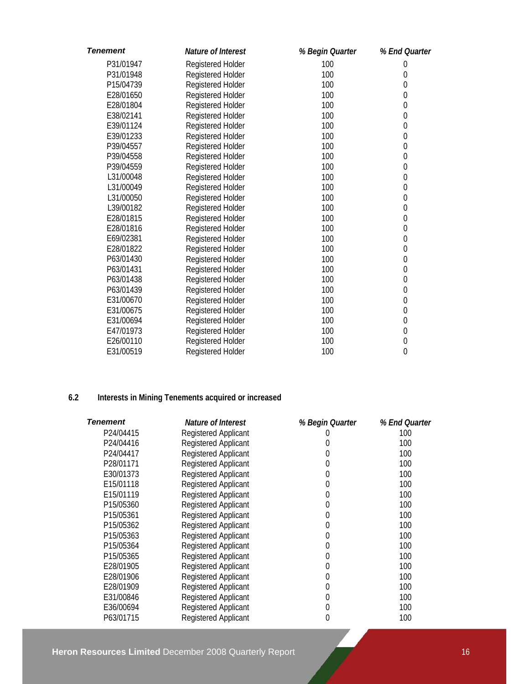| <b>Tenement</b> | Nature of Interest       | % Begin Quarter | % End Quarter    |
|-----------------|--------------------------|-----------------|------------------|
| P31/01947       | Registered Holder        | 100             | $\boldsymbol{0}$ |
| P31/01948       | Registered Holder        | 100             | $\mathbf{0}$     |
| P15/04739       | Registered Holder        | 100             | $\boldsymbol{0}$ |
| E28/01650       | Registered Holder        | 100             | $\mathbf 0$      |
| E28/01804       | Registered Holder        | 100             | $\mathbf 0$      |
| E38/02141       | Registered Holder        | 100             | $\boldsymbol{0}$ |
| E39/01124       | Registered Holder        | 100             | $\mathbf 0$      |
| E39/01233       | Registered Holder        | 100             | $\mathbf 0$      |
| P39/04557       | Registered Holder        | 100             | $\mathbf 0$      |
| P39/04558       | Registered Holder        | 100             | $\mathbf{0}$     |
| P39/04559       | Registered Holder        | 100             | $\mathbf{0}$     |
| L31/00048       | Registered Holder        | 100             | $\mathbf 0$      |
| L31/00049       | Registered Holder        | 100             | $\mathbf 0$      |
| L31/00050       | Registered Holder        | 100             | $\mathbf 0$      |
| L39/00182       | Registered Holder        | 100             | $\mathbf 0$      |
| E28/01815       | Registered Holder        | 100             | $\mathbf 0$      |
| E28/01816       | Registered Holder        | 100             | $\mathbf 0$      |
| E69/02381       | Registered Holder        | 100             | $\boldsymbol{0}$ |
| E28/01822       | Registered Holder        | 100             | $\mathbf 0$      |
| P63/01430       | Registered Holder        | 100             | $\mathbf 0$      |
| P63/01431       | Registered Holder        | 100             | $\mathbf 0$      |
| P63/01438       | Registered Holder        | 100             | $\mathbf 0$      |
| P63/01439       | Registered Holder        | 100             | $\mathbf 0$      |
| E31/00670       | Registered Holder        | 100             | $\mathbf 0$      |
| E31/00675       | Registered Holder        | 100             | $\mathbf 0$      |
| E31/00694       | Registered Holder        | 100             | $\mathbf 0$      |
| E47/01973       | Registered Holder        | 100             | $\mathbf 0$      |
| E26/00110       | Registered Holder        | 100             | $\boldsymbol{0}$ |
| E31/00519       | <b>Registered Holder</b> | 100             | $\mathbf{0}$     |

# **6.2 Interests in Mining Tenements acquired or increased**

| Tenement  | Nature of Interest          | % Begin Quarter | % End Quarter |
|-----------|-----------------------------|-----------------|---------------|
| P24/04415 | <b>Registered Applicant</b> |                 | 100           |
| P24/04416 | Registered Applicant        | 0               | 100           |
| P24/04417 | <b>Registered Applicant</b> | 0               | 100           |
| P28/01171 | <b>Registered Applicant</b> | 0               | 100           |
| E30/01373 | <b>Registered Applicant</b> | 0               | 100           |
| E15/01118 | <b>Registered Applicant</b> | 0               | 100           |
| E15/01119 | <b>Registered Applicant</b> | 0               | 100           |
| P15/05360 | <b>Registered Applicant</b> | 0               | 100           |
| P15/05361 | <b>Registered Applicant</b> | 0               | 100           |
| P15/05362 | Registered Applicant        | 0               | 100           |
| P15/05363 | <b>Registered Applicant</b> | 0               | 100           |
| P15/05364 | <b>Registered Applicant</b> | 0               | 100           |
| P15/05365 | <b>Registered Applicant</b> | 0               | 100           |
| E28/01905 | Registered Applicant        | 0               | 100           |
| E28/01906 | <b>Registered Applicant</b> | 0               | 100           |
| E28/01909 | Registered Applicant        | 0               | 100           |
| E31/00846 | <b>Registered Applicant</b> | 0               | 100           |
| E36/00694 | <b>Registered Applicant</b> | 0               | 100           |
| P63/01715 | <b>Registered Applicant</b> | 0               | 100           |